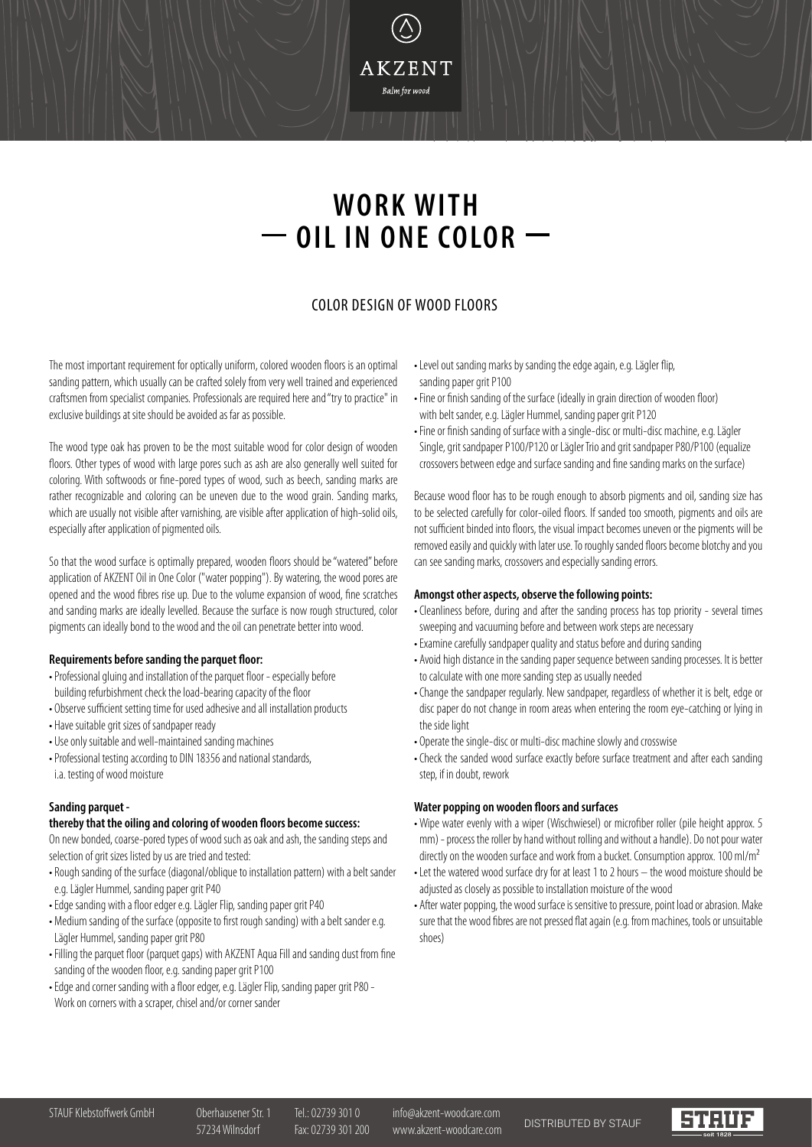**WORK WITH OIL IN ONE COLOR**

**AKZENT** Balm for wood

# COLOR DESIGN OF WOOD FLOORS

The most important requirement for optically uniform, colored wooden floors is an optimal sanding pattern, which usually can be crafted solely from very well trained and experienced craftsmen from specialist companies. Professionals are required here and "try to practice" in exclusive buildings at site should be avoided as far as possible.

The wood type oak has proven to be the most suitable wood for color design of wooden floors. Other types of wood with large pores such as ash are also generally well suited for coloring. With softwoods or fine-pored types of wood, such as beech, sanding marks are rather recognizable and coloring can be uneven due to the wood grain. Sanding marks, which are usually not visible after varnishing, are visible after application of high-solid oils, especially after application of pigmented oils.

So that the wood surface is optimally prepared, wooden floors should be "watered" before application of AKZENT Oil in One Color ("water popping"). By watering, the wood pores are opened and the wood fibres rise up. Due to the volume expansion of wood, fine scratches and sanding marks are ideally levelled. Because the surface is now rough structured, color pigments can ideally bond to the wood and the oil can penetrate better into wood.

#### **Requirements before sanding the parquet floor:**

- •Professional gluing and installation of the parquet floor especially before building refurbishment check the load-bearing capacity of the floor
- Observe sufficient setting time for used adhesive and all installation products
- Have suitable grit sizes of sandpaper ready
- Use only suitable and well-maintained sanding machines
- •Professional testing according to DIN 18356 and national standards, i.a. testing of wood moisture

### **Sanding parquet -**

### **thereby that the oiling and coloring of wooden floors become success:**

On new bonded, coarse-pored types of wood such as oak and ash, the sanding steps and selection of grit sizes listed by us are tried and tested:

- •Rough sanding of the surface (diagonal/oblique to installation pattern) with a belt sander e.g. Lägler Hummel, sanding paper grit P40
- •Edge sanding with a floor edger e.g. Lägler Flip, sanding paper grit P40
- Medium sanding of the surface (opposite to first rough sanding) with a belt sander e.g. Lägler Hummel, sanding paper grit P80
- Filling the parquet floor (parquet gaps) with AKZENT Aqua Fill and sanding dust from fine sanding of the wooden floor, e.g. sanding paper grit P100
- •Edge and corner sanding with a floor edger, e.g. Lägler Flip, sanding paper grit P80 Work on corners with a scraper, chisel and/or corner sander
- •Level out sanding marks by sanding the edge again, e.g. Lägler flip, sanding paper grit P100
- Fine or finish sanding of the surface (ideally in grain direction of wooden floor) with belt sander, e.g. Lägler Hummel, sanding paper grit P120
- Fine or finish sanding of surface with a single-disc or multi-disc machine, e.g. Lägler Single, grit sandpaper P100/P120 or Lägler Trio and grit sandpaper P80/P100 (equalize crossovers between edge and surface sanding and fine sanding marks on the surface)

Because wood floor has to be rough enough to absorb pigments and oil, sanding size has to be selected carefully for color-oiled floors. If sanded too smooth, pigments and oils are not sufficient binded into floors, the visual impact becomes uneven or the pigments will be removed easily and quickly with later use. To roughly sanded floors become blotchy and you can see sanding marks, crossovers and especially sanding errors.

### **Amongst other aspects, observe the following points:**

- •Cleanliness before, during and after the sanding process has top priority several times sweeping and vacuuming before and between work steps are necessary
- •Examine carefully sandpaper quality and status before and during sanding
- Avoid high distance in the sanding paper sequence between sanding processes. It is better to calculate with one more sanding step as usually needed
- •Change the sandpaper regularly. New sandpaper, regardless of whether it is belt, edge or disc paper do not change in room areas when entering the room eye-catching or lying in the side light
- Operate the single-disc or multi-disc machine slowly and crosswise
- •Check the sanded wood surface exactly before surface treatment and after each sanding step, if in doubt, rework

### **Water popping on wooden floors and surfaces**

- •Wipe water evenly with a wiper (Wischwiesel) or microfiber roller (pile height approx. 5 mm) - process the roller by hand without rolling and without a handle). Do not pour water directly on the wooden surface and work from a bucket. Consumption approx. 100 ml/m<sup>2</sup>
- •Let the watered wood surface dry for at least 1 to 2 hours the wood moisture should be adjusted as closely as possible to installation moisture of the wood
- After water popping, the wood surface is sensitive to pressure, point load or abrasion. Make sure that the wood fibres are not pressed flat again (e.g. from machines, tools or unsuitable shoes)

STAUF Klebstoffwerk GmbH Oberhausener Str. 1 Tel.: 02739 301 0 info@akzent-woodcare.com 57234 Wilnsdorf Fax: 02739 301 200 www.akzent-woodcare.com DISTRIBUTED BY STAUF

**STRUCK**